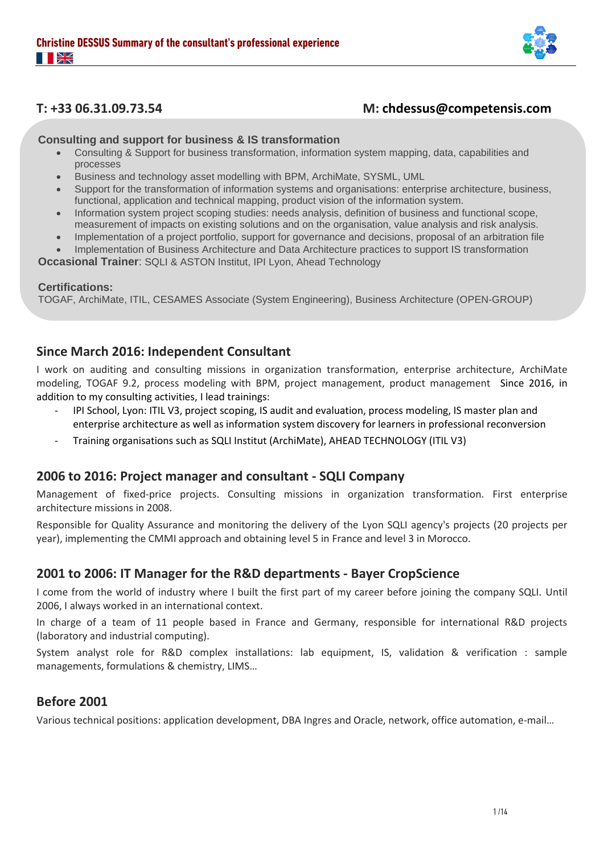

## **T: +33 06.31.09.73.54 M: chdessus@competensis.com**

**Consulting and support for business & IS transformation**

- Consulting & Support for business transformation, information system mapping, data, capabilities and processes
- Business and technology asset modelling with BPM, ArchiMate, SYSML, UML
- Support for the transformation of information systems and organisations: enterprise architecture, business, functional, application and technical mapping, product vision of the information system.
- Information system project scoping studies: needs analysis, definition of business and functional scope, measurement of impacts on existing solutions and on the organisation, value analysis and risk analysis.
- Implementation of a project portfolio, support for governance and decisions, proposal of an arbitration file
- Implementation of Business Architecture and Data Architecture practices to support IS transformation

**Occasional Trainer**: SQLI & ASTON Institut, IPI Lyon, Ahead Technology

#### **Certifications:**

TOGAF, ArchiMate, ITIL, CESAMES Associate (System Engineering), Business Architecture (OPEN-GROUP)

## **Since March 2016: Independent Consultant**

I work on auditing and consulting missions in organization transformation, enterprise architecture, ArchiMate modeling, TOGAF 9.2, process modeling with BPM, project management, product management Since 2016, in addition to my consulting activities, I lead trainings:

- IPI School, Lyon: ITIL V3, project scoping, IS audit and evaluation, process modeling, IS master plan and enterprise architecture as well as information system discovery for learners in professional reconversion
- Training organisations such as SQLI Institut (ArchiMate), AHEAD TECHNOLOGY (ITIL V3)

### **2006 to 2016: Project manager and consultant - SQLI Company**

Management of fixed-price projects. Consulting missions in organization transformation. First enterprise architecture missions in 2008.

Responsible for Quality Assurance and monitoring the delivery of the Lyon SQLI agency's projects (20 projects per year), implementing the CMMI approach and obtaining level 5 in France and level 3 in Morocco.

## **2001 to 2006: IT Manager for the R&D departments - Bayer CropScience**

I come from the world of industry where I built the first part of my career before joining the company SQLI. Until 2006, I always worked in an international context.

In charge of a team of 11 people based in France and Germany, responsible for international R&D projects (laboratory and industrial computing).

System analyst role for R&D complex installations: lab equipment, IS, validation & verification : sample managements, formulations & chemistry, LIMS…

## **Before 2001**

Various technical positions: application development, DBA Ingres and Oracle, network, office automation, e-mail…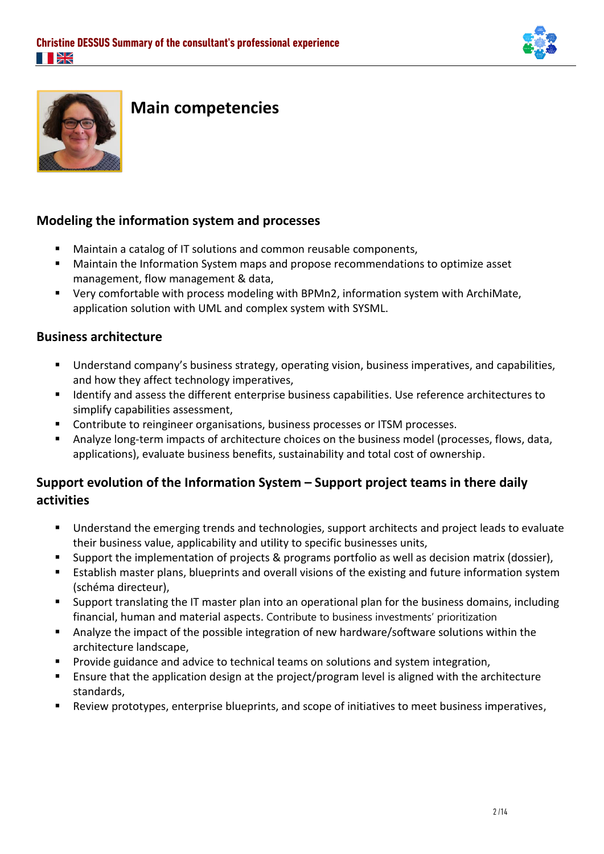



# **Main competencies**

## **Modeling the information system and processes**

- Maintain a catalog of IT solutions and common reusable components,
- Maintain the Information System maps and propose recommendations to optimize asset management, flow management & data,
- Very comfortable with process modeling with BPMn2, information system with ArchiMate, application solution with UML and complex system with SYSML.

## **Business architecture**

- Understand company's business strategy, operating vision, business imperatives, and capabilities, and how they affect technology imperatives,
- Identify and assess the different enterprise business capabilities. Use reference architectures to simplify capabilities assessment,
- Contribute to reingineer organisations, business processes or ITSM processes.
- Analyze long-term impacts of architecture choices on the business model (processes, flows, data, applications), evaluate business benefits, sustainability and total cost of ownership.

# **Support evolution of the Information System – Support project teams in there daily activities**

- Understand the emerging trends and technologies, support architects and project leads to evaluate their business value, applicability and utility to specific businesses units,
- Support the implementation of projects & programs portfolio as well as decision matrix (dossier),
- Establish master plans, blueprints and overall visions of the existing and future information system (schéma directeur),
- Support translating the IT master plan into an operational plan for the business domains, including financial, human and material aspects. Contribute to business investments' prioritization
- Analyze the impact of the possible integration of new hardware/software solutions within the architecture landscape,
- Provide guidance and advice to technical teams on solutions and system integration,
- Ensure that the application design at the project/program level is aligned with the architecture standards,
- Review prototypes, enterprise blueprints, and scope of initiatives to meet business imperatives,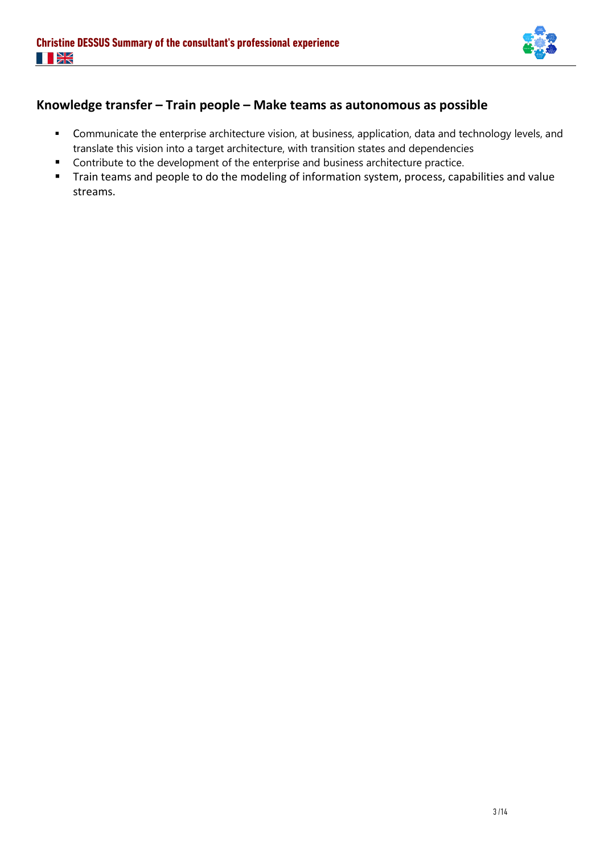

# **Knowledge transfer – Train people – Make teams as autonomous as possible**

- Communicate the enterprise architecture vision, at business, application, data and technology levels, and translate this vision into a target architecture, with transition states and dependencies
- Contribute to the development of the enterprise and business architecture practice.
- Train teams and people to do the modeling of information system, process, capabilities and value streams.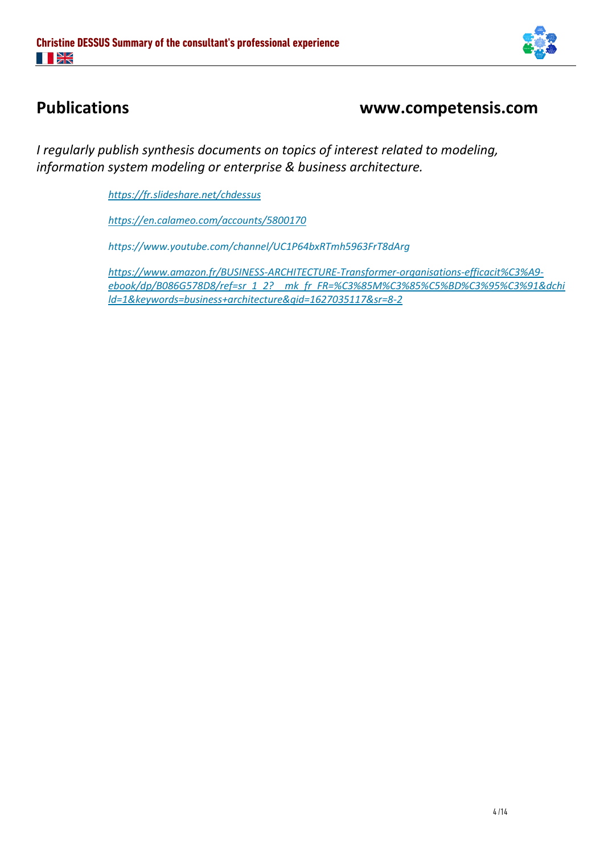

# **Publications www.competensis.com**

*I regularly publish synthesis documents on topics of interest related to modeling, information system modeling or enterprise & business architecture.*

*<https://fr.slideshare.net/chdessus>*

*<https://en.calameo.com/accounts/5800170>*

*https://www.youtube.com/channel/UC1P64bxRTmh5963FrT8dArg*

*[https://www.amazon.fr/BUSINESS-ARCHITECTURE-Transformer-organisations-efficacit%C3%A9](https://www.amazon.fr/BUSINESS-ARCHITECTURE-Transformer-organisations-efficacit%C3%A9-ebook/dp/B086G578D8/ref=sr_1_2?__mk_fr_FR=%C3%85M%C3%85%C5%BD%C3%95%C3%91&dchild=1&keywords=business+architecture&qid=1627035117&sr=8-2) [ebook/dp/B086G578D8/ref=sr\\_1\\_2?\\_\\_mk\\_fr\\_FR=%C3%85M%C3%85%C5%BD%C3%95%C3%91&dchi](https://www.amazon.fr/BUSINESS-ARCHITECTURE-Transformer-organisations-efficacit%C3%A9-ebook/dp/B086G578D8/ref=sr_1_2?__mk_fr_FR=%C3%85M%C3%85%C5%BD%C3%95%C3%91&dchild=1&keywords=business+architecture&qid=1627035117&sr=8-2) [ld=1&keywords=business+architecture&qid=1627035117&sr=8-2](https://www.amazon.fr/BUSINESS-ARCHITECTURE-Transformer-organisations-efficacit%C3%A9-ebook/dp/B086G578D8/ref=sr_1_2?__mk_fr_FR=%C3%85M%C3%85%C5%BD%C3%95%C3%91&dchild=1&keywords=business+architecture&qid=1627035117&sr=8-2)*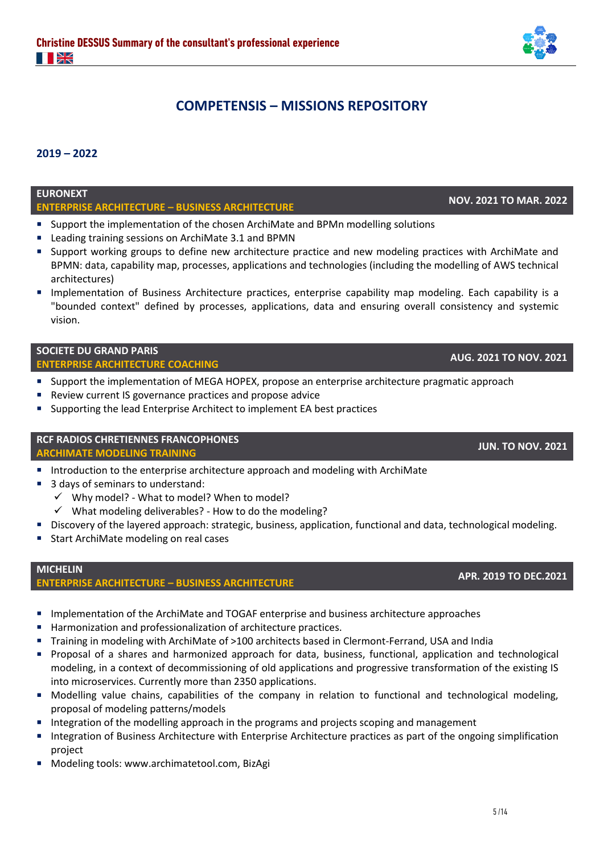# **COMPETENSIS – MISSIONS REPOSITORY**

### **2019 – 2022**

## **EURONEXT**

# **ENTERPRISE ARCHITECTURE – BUSINESS ARCHITECTURE NOV. 2021 TO MAR. 2022**

- Support the implementation of the chosen ArchiMate and BPMn modelling solutions
- Leading training sessions on ArchiMate 3.1 and BPMN
- Support working groups to define new architecture practice and new modeling practices with ArchiMate and BPMN: data, capability map, processes, applications and technologies (including the modelling of AWS technical architectures)
- Implementation of Business Architecture practices, enterprise capability map modeling. Each capability is a "bounded context" defined by processes, applications, data and ensuring overall consistency and systemic vision.

# **SOCIETE DU GRAND PARIS**

# **ENTERPRISE ARCHITECTURE COACHING AUG. 2021 TO NOV. 2021**

- Support the implementation of MEGA HOPEX, propose an enterprise architecture pragmatic approach
- Review current IS governance practices and propose advice
- Supporting the lead Enterprise Architect to implement EA best practices

## **RCF RADIOS CHRETIENNES FRANCOPHONES**

**ARCHIMATE MODELING TRAINING JUN. TO NOV. <sup>2021</sup>**

- Introduction to the enterprise architecture approach and modeling with ArchiMate
- 3 days of seminars to understand:
	- ✓ Why model? What to model? When to model?
	- $\checkmark$  What modeling deliverables? How to do the modeling?
- Discovery of the layered approach: strategic, business, application, functional and data, technological modeling.
- Start ArchiMate modeling on real cases

#### **MICHELIN ENTERPRISE ARCHITECTURE – BUSINESS ARCHITECTURE APR. 2019 TO DEC.2021**

- Implementation of the ArchiMate and TOGAF enterprise and business architecture approaches
- Harmonization and professionalization of architecture practices.
- Training in modeling with ArchiMate of >100 architects based in Clermont-Ferrand, USA and India
- Proposal of a shares and harmonized approach for data, business, functional, application and technological modeling, in a context of decommissioning of old applications and progressive transformation of the existing IS into microservices. Currently more than 2350 applications.
- Modelling value chains, capabilities of the company in relation to functional and technological modeling, proposal of modeling patterns/models
- Integration of the modelling approach in the programs and projects scoping and management
- Integration of Business Architecture with Enterprise Architecture practices as part of the ongoing simplification project
- Modeling tools: www.archimatetool.com, BizAgi

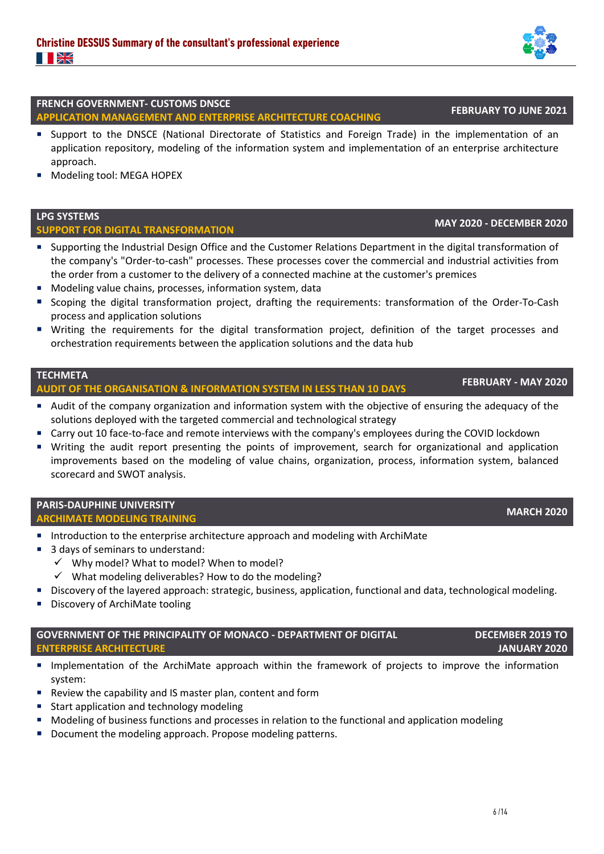#### **FRENCH GOVERNMENT- CUSTOMS DNSCE APPLICATION MANAGEMENT AND ENTERPRISE ARCHITECTURE COACHING FEBRUARY TO JUNE 2021**

- Support to the DNSCE (National Directorate of Statistics and Foreign Trade) in the implementation of an application repository, modeling of the information system and implementation of an enterprise architecture approach.
- Modeling tool: MEGA HOPEX

### **LPG SYSTEMS**

# **SUPPORT FOR DIGITAL TRANSFORMATION MAY 2020 - DECEMBER 2020**

- Supporting the Industrial Design Office and the Customer Relations Department in the digital transformation of the company's "Order-to-cash" processes. These processes cover the commercial and industrial activities from the order from a customer to the delivery of a connected machine at the customer's premices
- Modeling value chains, processes, information system, data
- Scoping the digital transformation project, drafting the requirements: transformation of the Order-To-Cash process and application solutions
- Writing the requirements for the digital transformation project, definition of the target processes and orchestration requirements between the application solutions and the data hub

## **TECHMETA**

# **AUDIT OF THE ORGANISATION & INFORMATION SYSTEM IN LESS THAN 10 DAYS FEBRUARY - MAY 2020**

- Audit of the company organization and information system with the objective of ensuring the adequacy of the solutions deployed with the targeted commercial and technological strategy
- Carry out 10 face-to-face and remote interviews with the company's employees during the COVID lockdown
- Writing the audit report presenting the points of improvement, search for organizational and application improvements based on the modeling of value chains, organization, process, information system, balanced scorecard and SWOT analysis.

## **PARIS-DAUPHINE UNIVERSITY**

# **ARCHIMATE MODELING TRAINING MARCH 2020**

- Introduction to the enterprise architecture approach and modeling with ArchiMate
- 3 days of seminars to understand:
	- ✓ Why model? What to model? When to model?
	- $\checkmark$  What modeling deliverables? How to do the modeling?
- Discovery of the layered approach: strategic, business, application, functional and data, technological modeling.
- Discovery of ArchiMate tooling

### **GOVERNMENT OF THE PRINCIPALITY OF MONACO - DEPARTMENT OF DIGITAL ENTERPRISE ARCHITECTURE**

- **■** Implementation of the ArchiMate approach within the framework of projects to improve the information system:
- Review the capability and IS master plan, content and form
- Start application and technology modeling
- Modeling of business functions and processes in relation to the functional and application modeling
- Document the modeling approach. Propose modeling patterns.

### **DECEMBER 2019 TO JANUARY 2020**

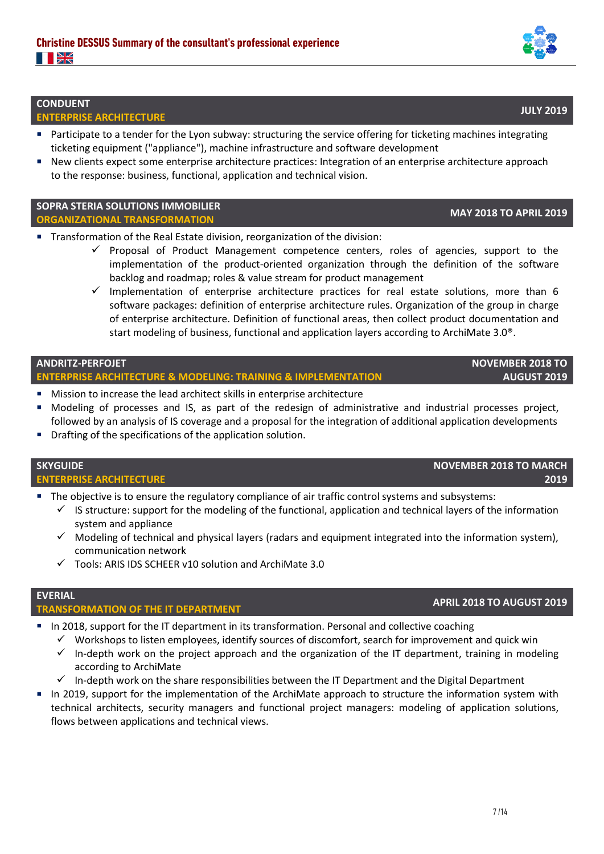### **CONDUENT**

**ENTERPRISE ARCHITECTURE JULY 2019**

- Participate to a tender for the Lyon subway: structuring the service offering for ticketing machines integrating ticketing equipment ("appliance"), machine infrastructure and software development
- New clients expect some enterprise architecture practices: Integration of an enterprise architecture approach to the response: business, functional, application and technical vision.

### **SOPRA STERIA SOLUTIONS IMMOBILIER ORGANIZATIONAL TRANSFORMATION MAY 2018 TO APRIL 2019**

- Transformation of the Real Estate division, reorganization of the division:
	- $\checkmark$  Proposal of Product Management competence centers, roles of agencies, support to the implementation of the product-oriented organization through the definition of the software backlog and roadmap; roles & value stream for product management
	- $\checkmark$  Implementation of enterprise architecture practices for real estate solutions, more than 6 software packages: definition of enterprise architecture rules. Organization of the group in charge of enterprise architecture. Definition of functional areas, then collect product documentation and start modeling of business, functional and application layers according to ArchiMate 3.0®.

### **ANDRITZ-PERFOJET**

### **ENTERPRISE ARCHITECTURE & MODELING: TRAINING & IMPLEMENTATION**

- Mission to increase the lead architect skills in enterprise architecture
- Modeling of processes and IS, as part of the redesign of administrative and industrial processes project, followed by an analysis of IS coverage and a proposal for the integration of additional application developments
- Drafting of the specifications of the application solution.

## **SKYGUIDE ENTERPRISE ARCHITECTURE**

- The objective is to ensure the regulatory compliance of air traffic control systems and subsystems:
	- $\checkmark$  IS structure: support for the modeling of the functional, application and technical layers of the information system and appliance
	- $\checkmark$  Modeling of technical and physical layers (radars and equipment integrated into the information system), communication network
	- ✓ Tools: ARIS IDS SCHEER v10 solution and ArchiMate 3.0

## **EVERIAL**

# **TRANSFORMATION OF THE IT DEPARTMENT APRIL 2018 TO AUGUST 2019**

- In 2018, support for the IT department in its transformation. Personal and collective coaching
	- $\checkmark$  Workshops to listen employees, identify sources of discomfort, search for improvement and quick win
	- $\checkmark$  In-depth work on the project approach and the organization of the IT department, training in modeling according to ArchiMate
	- $\checkmark$  In-depth work on the share responsibilities between the IT Department and the Digital Department
- In 2019, support for the implementation of the ArchiMate approach to structure the information system with technical architects, security managers and functional project managers: modeling of application solutions, flows between applications and technical views.

# **NOVEMBER 2018 TO MARCH**

**2019**

**NOVEMBER 2018 TO** 

**AUGUST 2019**



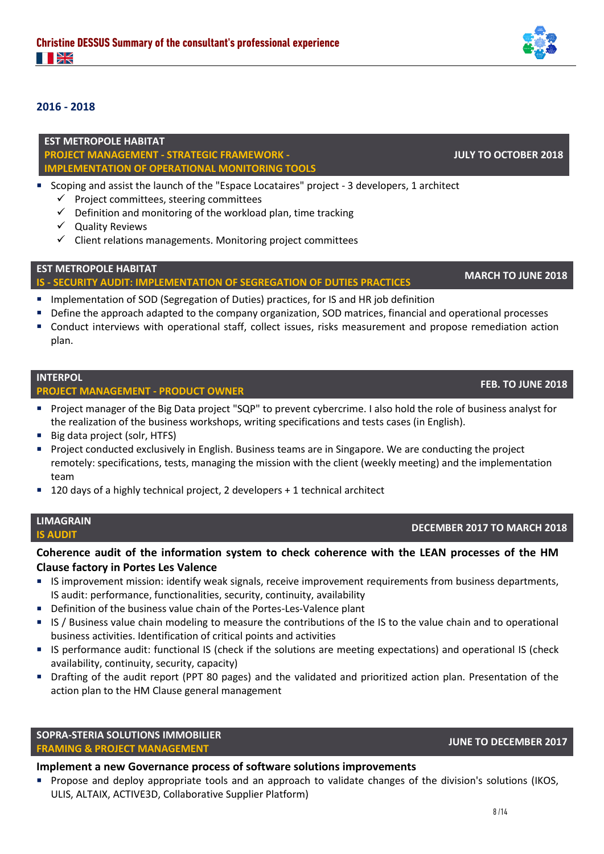### **2016 - 2018**

**EST METROPOLE HABITAT PROJECT MANAGEMENT - STRATEGIC FRAMEWORK - IMPLEMENTATION OF OPERATIONAL MONITORING TOOLS**

- Scoping and assist the launch of the "Espace Locataires" project 3 developers, 1 architect
	- $\checkmark$  Project committees, steering committees
	- $\checkmark$  Definition and monitoring of the workload plan, time tracking
	- ✓ Quality Reviews
	- ✓ Client relations managements. Monitoring project committees

### **EST METROPOLE HABITAT**

# **IS - SECURITY AUDIT: IMPLEMENTATION OF SEGREGATION OF DUTIES PRACTICES MARCH TO JUNE 2018**

- **■** Implementation of SOD (Segregation of Duties) practices, for IS and HR job definition
- Define the approach adapted to the company organization, SOD matrices, financial and operational processes
- Conduct interviews with operational staff, collect issues, risks measurement and propose remediation action plan.

#### **INTERPOL**

# **PROJECT MANAGEMENT - PRODUCT OWNER FEB. TO JUNE 2018**

- Project manager of the Big Data project "SQP" to prevent cybercrime. I also hold the role of business analyst for the realization of the business workshops, writing specifications and tests cases (in English).
- Big data project (solr, HTFS)
- Project conducted exclusively in English. Business teams are in Singapore. We are conducting the project remotely: specifications, tests, managing the mission with the client (weekly meeting) and the implementation team
- 120 days of a highly technical project, 2 developers + 1 technical architect

|              | <b>MAGRAIN</b> |  |
|--------------|----------------|--|
| <b>AUDIT</b> |                |  |

**LIMAGRAIN**

### **Coherence audit of the information system to check coherence with the LEAN processes of the HM Clause factory in Portes Les Valence**

- IS improvement mission: identify weak signals, receive improvement requirements from business departments, IS audit: performance, functionalities, security, continuity, availability
- Definition of the business value chain of the Portes-Les-Valence plant
- IS / Business value chain modeling to measure the contributions of the IS to the value chain and to operational business activities. Identification of critical points and activities
- IS performance audit: functional IS (check if the solutions are meeting expectations) and operational IS (check availability, continuity, security, capacity)
- Drafting of the audit report (PPT 80 pages) and the validated and prioritized action plan. Presentation of the action plan to the HM Clause general management

### **SOPRA-STERIA SOLUTIONS IMMOBILIER**

# **FRAMING & PROJECT MANAGEMENT JUNE TO DECEMBER 2017**

#### **Implement a new Governance process of software solutions improvements**

▪ Propose and deploy appropriate tools and an approach to validate changes of the division's solutions (IKOS, ULIS, ALTAIX, ACTIVE3D, Collaborative Supplier Platform)



**IS AUDIT DECEMBER 2017 TO MARCH 2018**

**JULY TO OCTOBER 2018**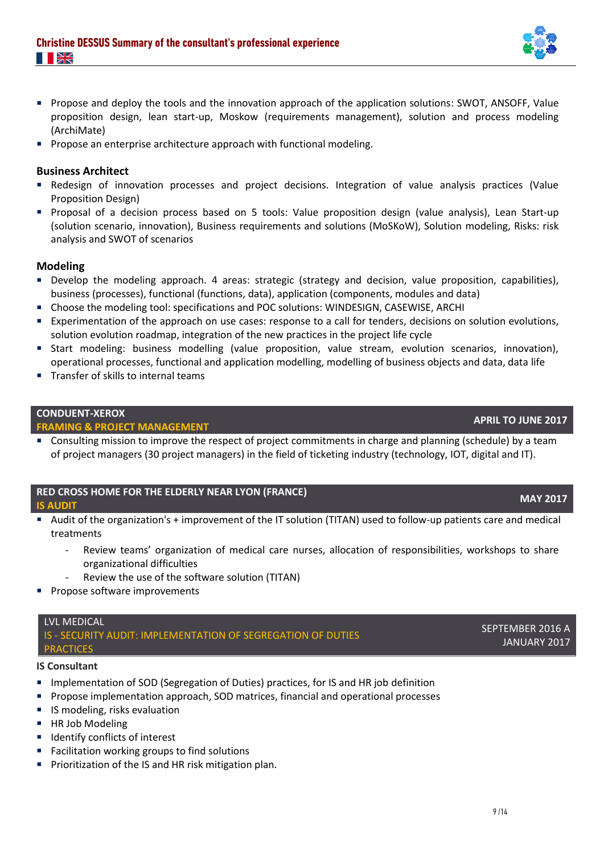- Propose and deploy the tools and the innovation approach of the application solutions: SWOT, ANSOFF, Value proposition design, lean start-up, Moskow (requirements management), solution and process modeling (ArchiMate)
- **Propose an enterprise architecture approach with functional modeling.**

### **Business Architect**

- Redesign of innovation processes and project decisions. Integration of value analysis practices (Value Proposition Design)
- Proposal of a decision process based on 5 tools: Value proposition design (value analysis), Lean Start-up (solution scenario, innovation), Business requirements and solutions (MoSKoW), Solution modeling, Risks: risk analysis and SWOT of scenarios

#### **Modeling**

- Develop the modeling approach. 4 areas: strategic (strategy and decision, value proposition, capabilities), business (processes), functional (functions, data), application (components, modules and data)
- Choose the modeling tool: specifications and POC solutions: WINDESIGN, CASEWISE, ARCHI
- Experimentation of the approach on use cases: response to a call for tenders, decisions on solution evolutions, solution evolution roadmap, integration of the new practices in the project life cycle
- Start modeling: business modelling (value proposition, value stream, evolution scenarios, innovation), operational processes, functional and application modelling, modelling of business objects and data, data life
- Transfer of skills to internal teams

#### **CONDUENT-XEROX**

# **FRAMING & PROJECT MANAGEMENT APRIL TO JUNE 2017**

■ Consulting mission to improve the respect of project commitments in charge and planning (schedule) by a team of project managers (30 project managers) in the field of ticketing industry (technology, IOT, digital and IT).

### **RED CROSS HOME FOR THE ELDERLY NEAR LYON (FRANCE) IS AUDIT MAY 2017**

- 
- Audit of the organization's + improvement of the IT solution (TITAN) used to follow-up patients care and medical treatments
	- Review teams' organization of medical care nurses, allocation of responsibilities, workshops to share organizational difficulties
	- Review the use of the software solution (TITAN)
- **Propose software improvements**

#### LVL MEDICAL IS - SECURITY AUDIT: IMPLEMENTATION OF SEGREGATION OF DUTIES **PRACTICES**

#### **IS Consultant**

- **■** Implementation of SOD (Segregation of Duties) practices, for IS and HR job definition
- Propose implementation approach, SOD matrices, financial and operational processes
- IS modeling, risks evaluation
- **HR Job Modeling**
- Identify conflicts of interest
- Facilitation working groups to find solutions
- Prioritization of the IS and HR risk mitigation plan.

# SEPTEMBER 2016 A JANUARY 2017

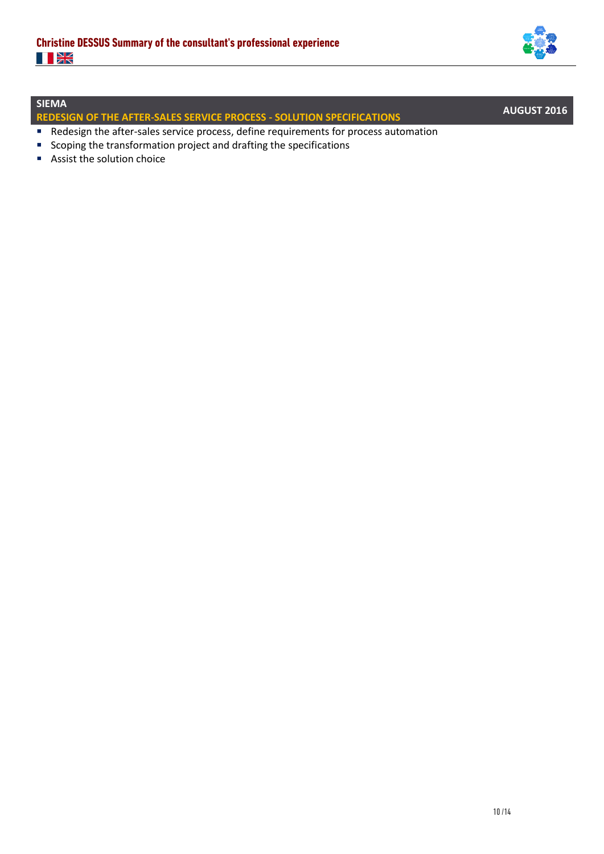

## **SIEMA**

**REDESIGN OF THE AFTER-SALES SERVICE PROCESS - SOLUTION SPECIFICATIONS AUGUST 2016**

- Redesign the after-sales service process, define requirements for process automation
- Scoping the transformation project and drafting the specifications
- Assist the solution choice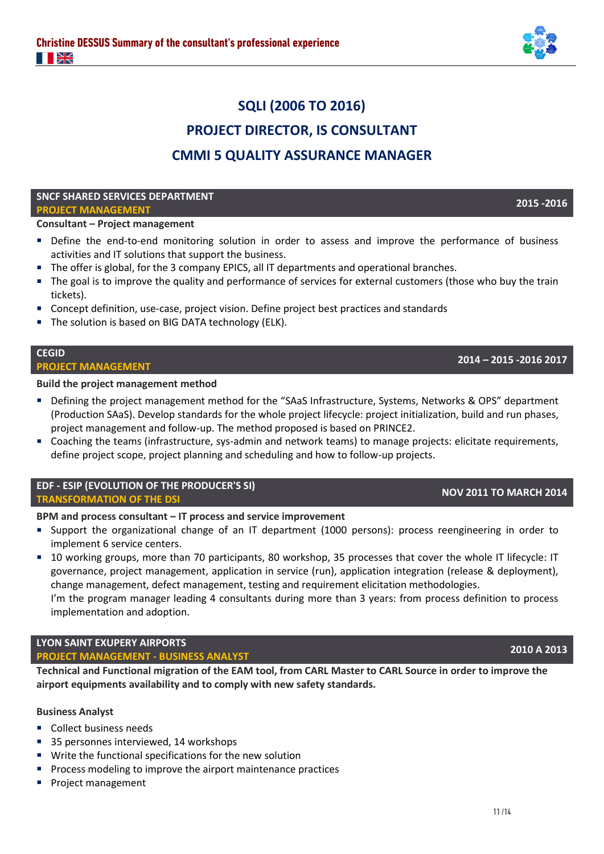

# **SQLI (2006 TO 2016) PROJECT DIRECTOR, IS CONSULTANT CMMI 5 QUALITY ASSURANCE MANAGER**

#### **SNCF SHARED SERVICES DEPARTMENT PROJECT MANAGEMENT 2015 -2016**

# **Consultant – Project management**

- Define the end-to-end monitoring solution in order to assess and improve the performance of business activities and IT solutions that support the business.
- The offer is global, for the 3 company EPICS, all IT departments and operational branches.
- The goal is to improve the quality and performance of services for external customers (those who buy the train tickets).
- Concept definition, use-case, project vision. Define project best practices and standards
- The solution is based on BIG DATA technology (ELK).

#### **CEGID**

# **PROJECT MANAGEMENT <sup>2014</sup>– 2015 -2016 2017**

**Build the project management method**

- Defining the project management method for the "SAaS Infrastructure, Systems, Networks & OPS" department (Production SAaS). Develop standards for the whole project lifecycle: project initialization, build and run phases, project management and follow-up. The method proposed is based on PRINCE2.
- Coaching the teams (infrastructure, sys-admin and network teams) to manage projects: elicitate requirements, define project scope, project planning and scheduling and how to follow-up projects.

### **EDF - ESIP (EVOLUTION OF THE PRODUCER'S SI) TRANSFORMATION OF THE DSI NOV 2011 TO MARCH 2014**

### **BPM and process consultant – IT process and service improvement**

- Support the organizational change of an IT department (1000 persons): process reengineering in order to implement 6 service centers.
- 10 working groups, more than 70 participants, 80 workshop, 35 processes that cover the whole IT lifecycle: IT governance, project management, application in service (run), application integration (release & deployment), change management, defect management, testing and requirement elicitation methodologies. I'm the program manager leading 4 consultants during more than 3 years: from process definition to process

# **LYON SAINT EXUPERY AIRPORTS**

implementation and adoption.

# **PROJECT MANAGEMENT - BUSINESS ANALYST 2010 A 2013**

**Technical and Functional migration of the EAM tool, from CARL Master to CARL Source in order to improve the airport equipments availability and to comply with new safety standards.**

#### **Business Analyst**

- Collect business needs
- 35 personnes interviewed, 14 workshops
- Write the functional specifications for the new solution
- Process modeling to improve the airport maintenance practices
- Project management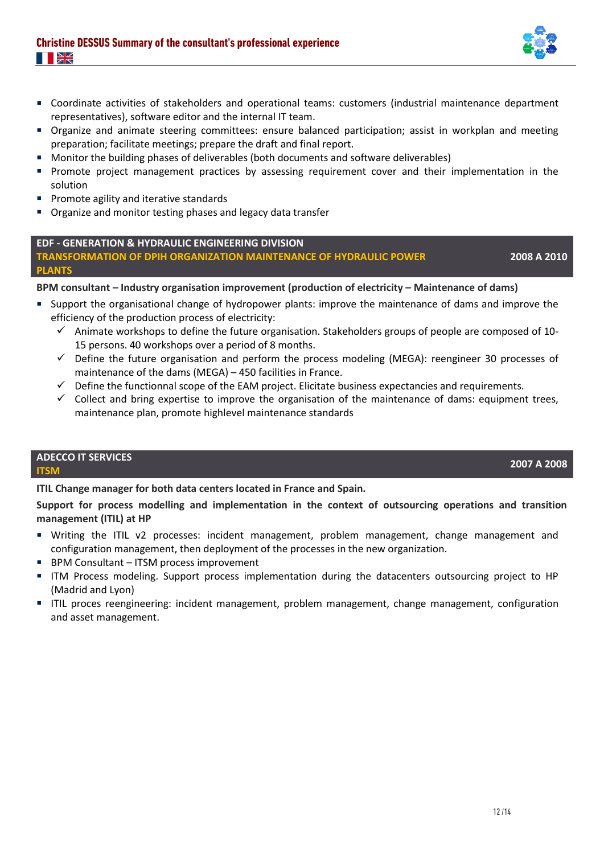- Coordinate activities of stakeholders and operational teams: customers (industrial maintenance department representatives), software editor and the internal IT team.
- Organize and animate steering committees: ensure balanced participation; assist in workplan and meeting preparation; facilitate meetings; prepare the draft and final report.
- Monitor the building phases of deliverables (both documents and software deliverables)
- **•** Promote project management practices by assessing requirement cover and their implementation in the solution
- Promote agility and iterative standards
- Organize and monitor testing phases and legacy data transfer

#### **EDF - GENERATION & HYDRAULIC ENGINEERING DIVISION**

**TRANSFORMATION OF DPIH ORGANIZATION MAINTENANCE OF HYDRAULIC POWER PLANTS**

**2008 A 2010**

### **BPM consultant – Industry organisation improvement (production of electricity – Maintenance of dams)**

- Support the organisational change of hydropower plants: improve the maintenance of dams and improve the efficiency of the production process of electricity:
	- $\checkmark$  Animate workshops to define the future organisation. Stakeholders groups of people are composed of 10-15 persons. 40 workshops over a period of 8 months.
	- ✓ Define the future organisation and perform the process modeling (MEGA): reengineer 30 processes of maintenance of the dams (MEGA) – 450 facilities in France.
	- ✓ Define the functionnal scope of the EAM project. Elicitate business expectancies and requirements.
	- $\checkmark$  Collect and bring expertise to improve the organisation of the maintenance of dams: equipment trees, maintenance plan, promote highlevel maintenance standards

## **ADECCO IT SERVICES ITSM 2007 A 2008**

**ITIL Change manager for both data centers located in France and Spain.**

**Support for process modelling and implementation in the context of outsourcing operations and transition management (ITIL) at HP** 

- Writing the ITIL v2 processes: incident management, problem management, change management and configuration management, then deployment of the processes in the new organization.
- BPM Consultant ITSM process improvement
- **■** ITM Process modeling. Support process implementation during the datacenters outsourcing project to HP (Madrid and Lyon)
- **■** ITIL proces reengineering: incident management, problem management, change management, configuration and asset management.

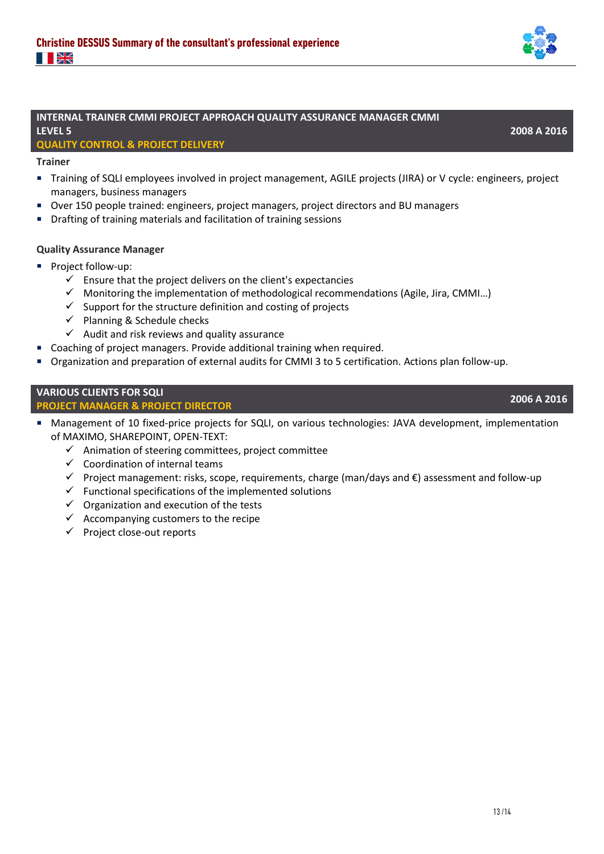

### **INTERNAL TRAINER CMMI PROJECT APPROACH QUALITY ASSURANCE MANAGER CMMI LEVEL 5**

#### **QUALITY CONTROL & PROJECT DELIVERY**

**Trainer**

- Training of SQLI employees involved in project management, AGILE projects (JIRA) or V cycle: engineers, project managers, business managers
- Over 150 people trained: engineers, project managers, project directors and BU managers
- Drafting of training materials and facilitation of training sessions

#### **Quality Assurance Manager**

- Project follow-up:
	- $\checkmark$  Ensure that the project delivers on the client's expectancies
	- $\checkmark$  Monitoring the implementation of methodological recommendations (Agile, Jira, CMMI...)
	- $\checkmark$  Support for the structure definition and costing of projects
	- $\checkmark$  Planning & Schedule checks
	- $\checkmark$  Audit and risk reviews and quality assurance
- Coaching of project managers. Provide additional training when required.
- Organization and preparation of external audits for CMMI 3 to 5 certification. Actions plan follow-up.

#### **VARIOUS CLIENTS FOR SQLI PROJECT MANAGER & PROJECT DIRECTOR 2006 A 2016**

- Management of 10 fixed-price projects for SQLI, on various technologies: JAVA development, implementation of MAXIMO, SHAREPOINT, OPEN-TEXT:
	- ✓ Animation of steering committees, project committee
	- $\checkmark$  Coordination of internal teams
	- ✓ Project management: risks, scope, requirements, charge (man/days and €) assessment and follow-up
	- $\checkmark$  Functional specifications of the implemented solutions
	- $\checkmark$  Organization and execution of the tests
	- $\checkmark$  Accompanying customers to the recipe
	- ✓ Project close-out reports